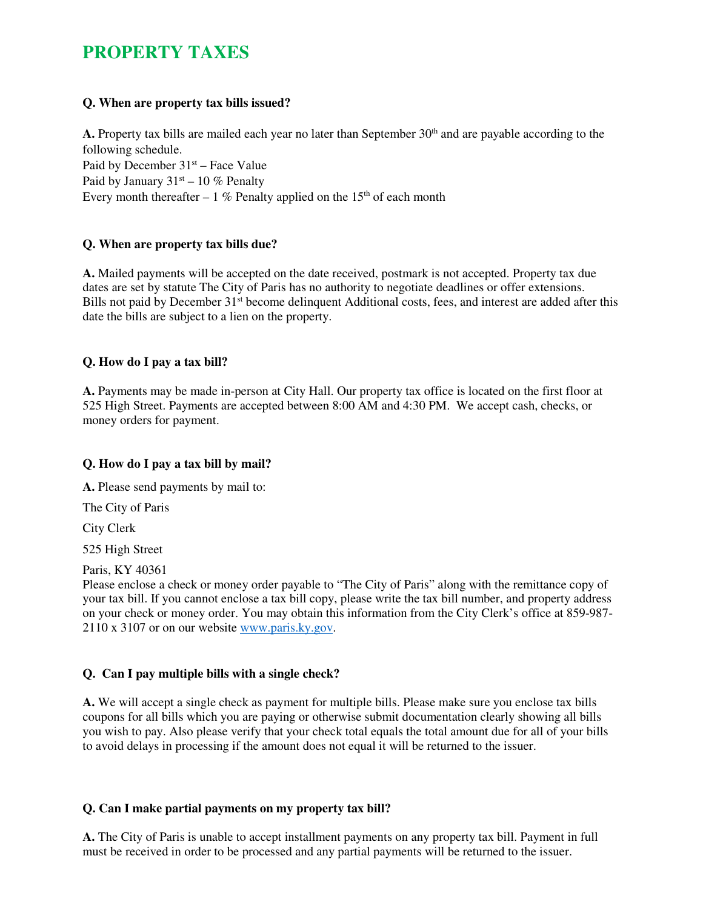# **PROPERTY TAXES**

## **Q. When are property tax bills issued?**

**A.** Property tax bills are mailed each year no later than September  $30<sup>th</sup>$  and are payable according to the following schedule. Paid by December  $31<sup>st</sup>$  – Face Value Paid by January  $31<sup>st</sup> - 10$  % Penalty Every month thereafter  $-1\%$  Penalty applied on the 15<sup>th</sup> of each month

# **Q. When are property tax bills due?**

**A.** Mailed payments will be accepted on the date received, postmark is not accepted. Property tax due dates are set by statute The City of Paris has no authority to negotiate deadlines or offer extensions. Bills not paid by December 31<sup>st</sup> become delinquent Additional costs, fees, and interest are added after this date the bills are subject to a lien on the property.

## **Q. How do I pay a tax bill?**

**A.** Payments may be made in-person at City Hall. Our property tax office is located on the first floor at 525 High Street. Payments are accepted between 8:00 AM and 4:30 PM. We accept cash, checks, or money orders for payment.

# **Q. How do I pay a tax bill by mail?**

**A.** Please send payments by mail to:

The City of Paris

City Clerk

525 High Street

Paris, KY 40361

Please enclose a check or money order payable to "The City of Paris" along with the remittance copy of your tax bill. If you cannot enclose a tax bill copy, please write the tax bill number, and property address on your check or money order. You may obtain this information from the City Clerk's office at 859-987- 2110 x 3107 or on our website www.paris.ky.gov.

# **Q. Can I pay multiple bills with a single check?**

**A.** We will accept a single check as payment for multiple bills. Please make sure you enclose tax bills coupons for all bills which you are paying or otherwise submit documentation clearly showing all bills you wish to pay. Also please verify that your check total equals the total amount due for all of your bills to avoid delays in processing if the amount does not equal it will be returned to the issuer.

# **Q. Can I make partial payments on my property tax bill?**

**A.** The City of Paris is unable to accept installment payments on any property tax bill. Payment in full must be received in order to be processed and any partial payments will be returned to the issuer.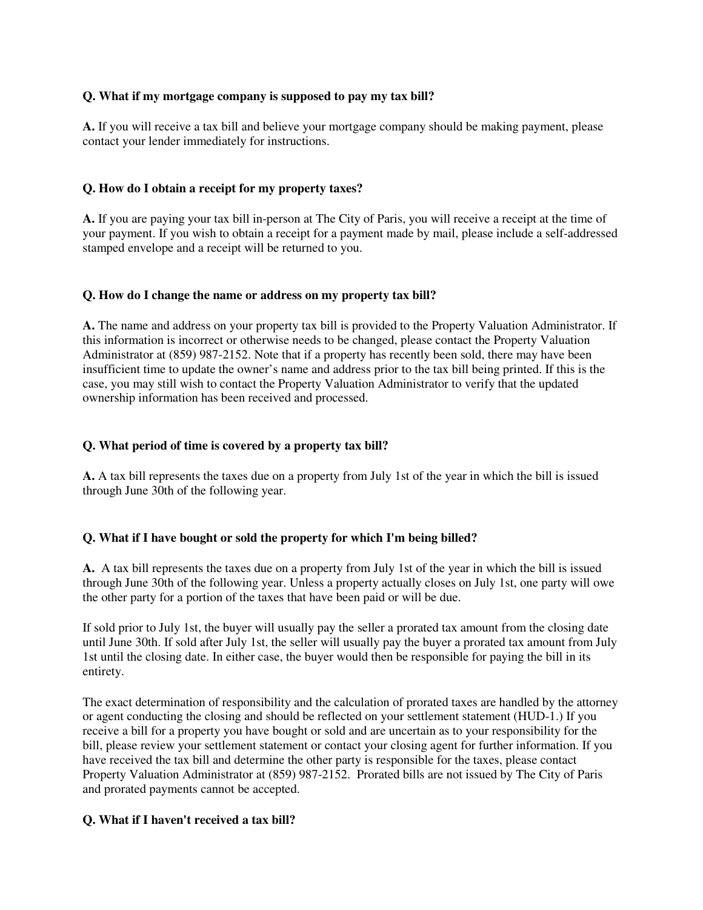## **Q. What if my mortgage company is supposed to pay my tax bill?**

**A.** If you will receive a tax bill and believe your mortgage company should be making payment, please contact your lender immediately for instructions.

## **Q. How do I obtain a receipt for my property taxes?**

**A.** If you are paying your tax bill in-person at The City of Paris, you will receive a receipt at the time of your payment. If you wish to obtain a receipt for a payment made by mail, please include a self-addressed stamped envelope and a receipt will be returned to you.

### **Q. How do I change the name or address on my property tax bill?**

**A.** The name and address on your property tax bill is provided to the Property Valuation Administrator. If this information is incorrect or otherwise needs to be changed, please contact the Property Valuation Administrator at (859) 987-2152. Note that if a property has recently been sold, there may have been insufficient time to update the owner's name and address prior to the tax bill being printed. If this is the case, you may still wish to contact the Property Valuation Administrator to verify that the updated ownership information has been received and processed.

## **Q. What period of time is covered by a property tax bill?**

**A.** A tax bill represents the taxes due on a property from July 1st of the year in which the bill is issued through June 30th of the following year.

### **Q. What if I have bought or sold the property for which I'm being billed?**

**A.** A tax bill represents the taxes due on a property from July 1st of the year in which the bill is issued through June 30th of the following year. Unless a property actually closes on July 1st, one party will owe the other party for a portion of the taxes that have been paid or will be due.

If sold prior to July 1st, the buyer will usually pay the seller a prorated tax amount from the closing date until June 30th. If sold after July 1st, the seller will usually pay the buyer a prorated tax amount from July 1st until the closing date. In either case, the buyer would then be responsible for paying the bill in its entirety.

The exact determination of responsibility and the calculation of prorated taxes are handled by the attorney or agent conducting the closing and should be reflected on your settlement statement (HUD-1.) If you receive a bill for a property you have bought or sold and are uncertain as to your responsibility for the bill, please review your settlement statement or contact your closing agent for further information. If you have received the tax bill and determine the other party is responsible for the taxes, please contact Property Valuation Administrator at (859) 987-2152. Prorated bills are not issued by The City of Paris and prorated payments cannot be accepted.

### **Q. What if I haven't received a tax bill?**